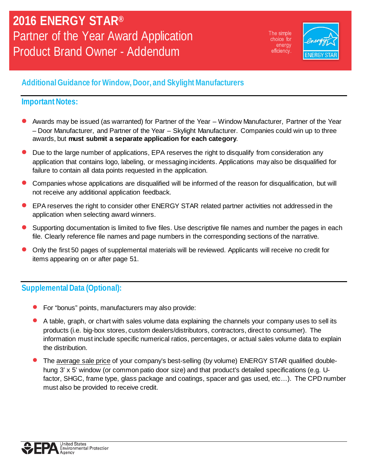The simple choice for energy efficiency.



## **Additional Guidance for Window, Door, and Skylight Manufacturers**

## **Important Notes:**

- Awards may be issued (as warranted) for Partner of the Year Window Manufacturer, Partner of the Year – Door Manufacturer, and Partner of the Year – Skylight Manufacturer. Companies could win up to three awards, but **must submit a separate application for each category**.
- Due to the large number of applications, EPA reserves the right to disqualify from consideration any application that contains logo, labeling, or messaging incidents. Applications may also be disqualified for failure to contain all data points requested in the application.
- Companies whose applications are disqualified will be informed of the reason for disqualification, but will not receive any additional application feedback.
- EPA reserves the right to consider other ENERGY STAR related partner activities not addressed in the application when selecting award winners.
- Supporting documentation is limited to five files. Use descriptive file names and number the pages in each file. Clearly reference file names and page numbers in the corresponding sections of the narrative.
- Only the first 50 pages of supplemental materials will be reviewed. Applicants will receive no credit for items appearing on or after page 51.

## **Supplemental Data (Optional):**

- For "bonus" points, manufacturers may also provide:
- A table, graph, or chart with sales volume data explaining the channels your company uses to sell its products (i.e. big-box stores, custom dealers/distributors, contractors, direct to consumer). The information must include specific numerical ratios, percentages, or actual sales volume data to explain the distribution.
- The average sale price of your company's best-selling (by volume) ENERGY STAR qualified doublehung 3' x 5' window (or common patio door size) and that product's detailed specifications (e.g. Ufactor, SHGC, frame type, glass package and coatings, spacer and gas used, etc…). The CPD number must also be provided to receive credit.